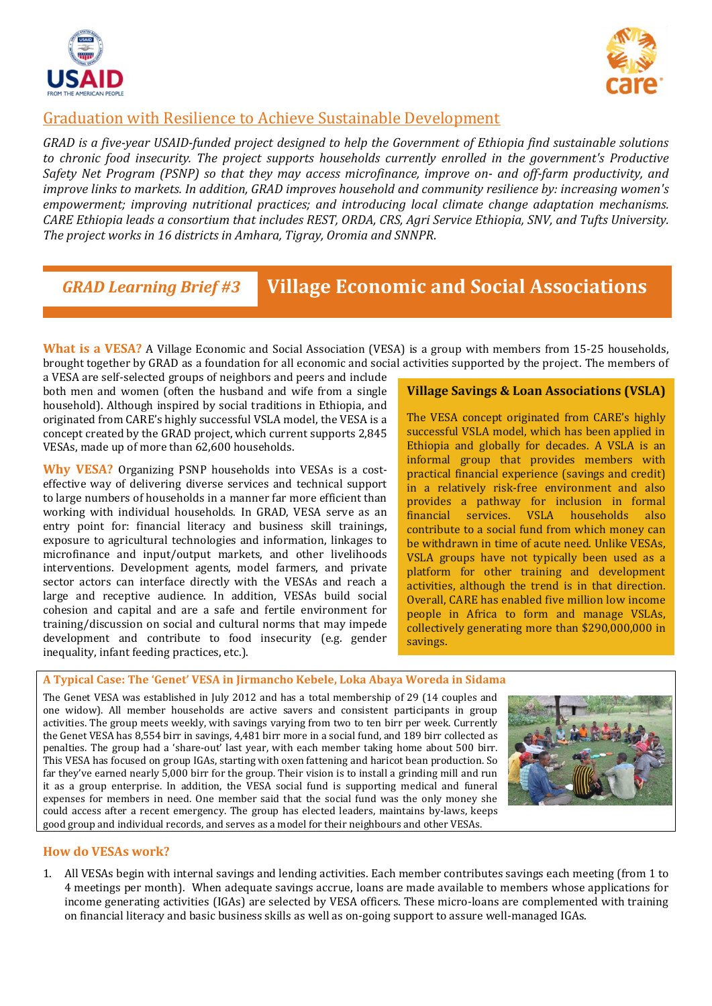



### Graduation with Resilience to Achieve Sustainable Development

*GRAD is a five-year USAID-funded project designed to help the Government of Ethiopia find sustainable solutions to chronic food insecurity. The project supports households currently enrolled in the government's Productive Safety Net Program (PSNP) so that they may access microfinance, improve on- and off-farm productivity, and improve links to markets. In addition, GRAD improves household and community resilience by: increasing women's empowerment; improving nutritional practices; and introducing local climate change adaptation mechanisms. CARE Ethiopia leads a consortium that includes REST, ORDA, CRS, Agri Service Ethiopia, SNV, and Tufts University. The project works in 16 districts in Amhara, Tigray, Oromia and SNNPR*.

# *GRAD Learning Brief #3* **Village Economic and Social Associations**

**What is a VESA?** A Village Economic and Social Association (VESA) is a group with members from 15-25 households, brought together by GRAD as a foundation for all economic and social activities supported by the project. The members of

a VESA are self-selected groups of neighbors and peers and include both men and women (often the husband and wife from a single household). Although inspired by social traditions in Ethiopia, and originated from CARE's highly successful VSLA model, the VESA is a concept created by the GRAD project, which current supports 2,845 VESAs, made up of more than 62,600 households.

**Why VESA?** Organizing PSNP households into VESAs is a costeffective way of delivering diverse services and technical support to large numbers of households in a manner far more efficient than working with individual households. In GRAD, VESA serve as an entry point for: financial literacy and business skill trainings, exposure to agricultural technologies and information, linkages to microfinance and input/output markets, and other livelihoods interventions. Development agents, model farmers, and private sector actors can interface directly with the VESAs and reach a large and receptive audience. In addition, VESAs build social cohesion and capital and are a safe and fertile environment for training/discussion on social and cultural norms that may impede development and contribute to food insecurity (e.g. gender inequality, infant feeding practices, etc.).

#### **Village Savings & Loan Associations (VSLA)**

The VESA concept originated from CARE's highly successful VSLA model, which has been applied in Ethiopia and globally for decades. A VSLA is an informal group that provides members with practical financial experience (savings and credit) in a relatively risk-free environment and also provides a pathway for inclusion in formal financial services. VSLA households also contribute to a social fund from which money can be withdrawn in time of acute need. Unlike VESAs, VSLA groups have not typically been used as a platform for other training and development activities, although the trend is in that direction. Overall, CARE has enabled five million low income people in Africa to form and manage VSLAs, collectively generating more than \$290,000,000 in savings.

### **A Typical Case: The 'Genet' VESA in Jirmancho Kebele, Loka Abaya Woreda in Sidama**

The Genet VESA was established in July 2012 and has a total membership of 29 (14 couples and one widow). All member households are active savers and consistent participants in group activities. The group meets weekly, with savings varying from two to ten birr per week. Currently the Genet VESA has 8,554 birr in savings, 4,481 birr more in a social fund, and 189 birr collected as penalties. The group had a 'share-out' last year, with each member taking home about 500 birr. This VESA has focused on group IGAs, starting with oxen fattening and haricot bean production. So far they've earned nearly 5,000 birr for the group. Their vision is to install a grinding mill and run it as a group enterprise. In addition, the VESA social fund is supporting medical and funeral expenses for members in need. One member said that the social fund was the only money she could access after a recent emergency. The group has elected leaders, maintains by-laws, keeps good group and individual records, and serves as a model for their neighbours and other VESAs.



#### **How do VESAs work?**

1. All VESAs begin with internal savings and lending activities. Each member contributes savings each meeting (from 1 to 4 meetings per month). When adequate savings accrue, loans are made available to members whose applications for income generating activities (IGAs) are selected by VESA officers. These micro-loans are complemented with training on financial literacy and basic business skills as well as on-going support to assure well-managed IGAs.